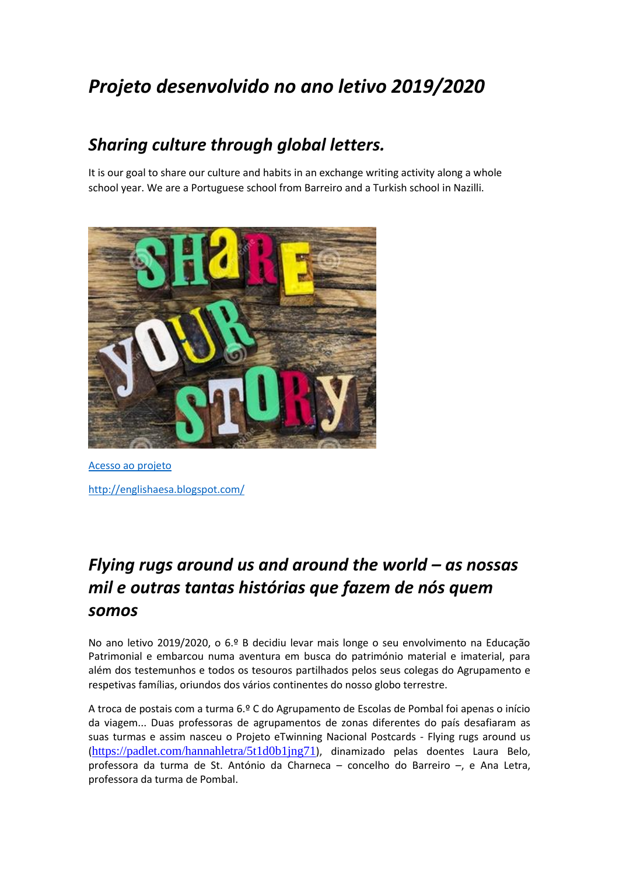# *Projeto desenvolvido no ano letivo 2019/2020*

### *Sharing culture through global letters.*

It is our goal to share our culture and habits in an exchange writing activity along a whole school year. We are a Portuguese school from Barreiro and a Turkish school in Nazilli.



[Acesso ao projeto](https://twinspace.etwinning.net/92003/home) <http://englishaesa.blogspot.com/>

## *Flying rugs around us and around the world – as nossas mil e outras tantas histórias que fazem de nós quem somos*

No ano letivo 2019/2020, o 6.º B decidiu levar mais longe o seu envolvimento na Educação Patrimonial e embarcou numa aventura em busca do património material e imaterial, para além dos testemunhos e todos os tesouros partilhados pelos seus colegas do Agrupamento e respetivas famílias, oriundos dos vários continentes do nosso globo terrestre.

A troca de postais com a turma 6.º C do Agrupamento de Escolas de Pombal foi apenas o início da viagem... Duas professoras de agrupamentos de zonas diferentes do país desafiaram as suas turmas e assim nasceu o Projeto eTwinning Nacional Postcards - Flying rugs around us (<https://padlet.com/hannahletra/5t1d0b1jng71>), dinamizado pelas doentes Laura Belo, professora da turma de St. António da Charneca – concelho do Barreiro –, e Ana Letra, professora da turma de Pombal.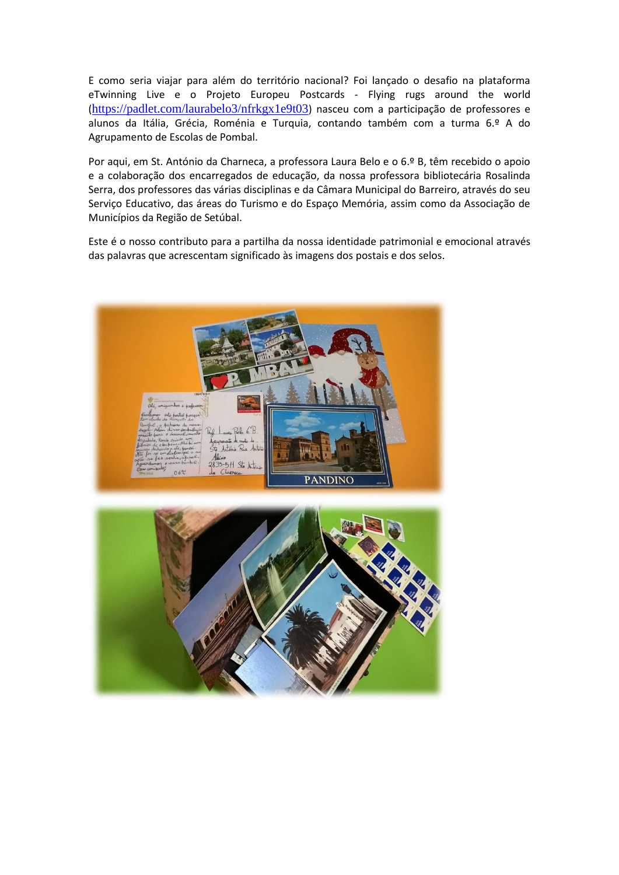E como seria viajar para além do território nacional? Foi lançado o desafio na plataforma eTwinning Live e o Projeto Europeu Postcards - Flying rugs around the world (<https://padlet.com/laurabelo3/nfrkgx1e9t03>) nasceu com a participação de professores e alunos da Itália, Grécia, Roménia e Turquia, contando também com a turma 6.º A do Agrupamento de Escolas de Pombal.

Por aqui, em St. António da Charneca, a professora Laura Belo e o 6.º B, têm recebido o apoio e a colaboração dos encarregados de educação, da nossa professora bibliotecária Rosalinda Serra, dos professores das várias disciplinas e da Câmara Municipal do Barreiro, através do seu Serviço Educativo, das áreas do Turismo e do Espaço Memória, assim como da Associação de Municípios da Região de Setúbal.

Este é o nosso contributo para a partilha da nossa identidade patrimonial e emocional através das palavras que acrescentam significado às imagens dos postais e dos selos.



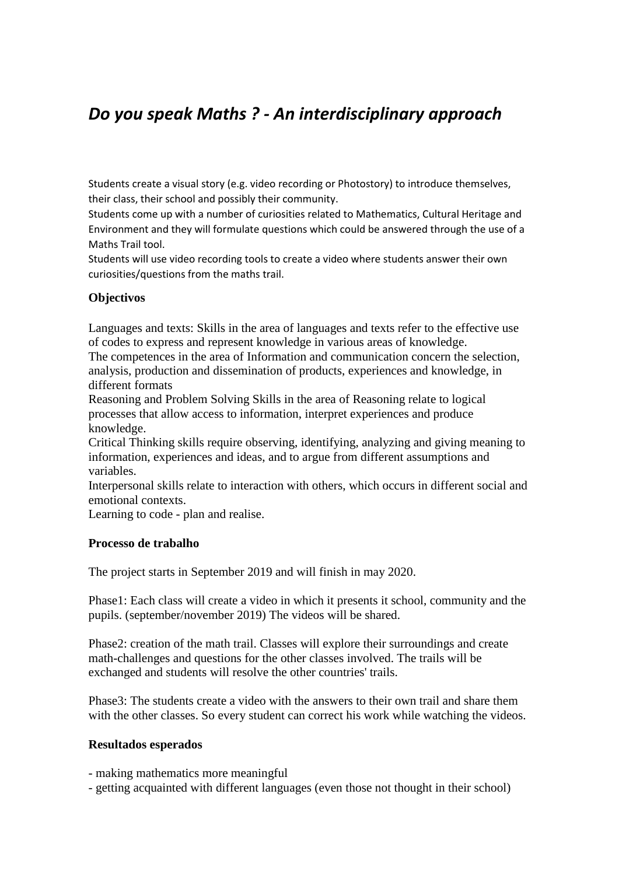### *Do you speak Maths ? - [An interdisciplinary approach](https://live.etwinning.net/projects/project/193646)*

Students create a visual story (e.g. video recording or Photostory) to introduce themselves, their class, their school and possibly their community.

Students come up with a number of curiosities related to Mathematics, Cultural Heritage and Environment and they will formulate questions which could be answered through the use of a Maths Trail tool.

Students will use video recording tools to create a video where students answer their own curiosities/questions from the maths trail.

#### **Objectivos**

Languages and texts: Skills in the area of languages and texts refer to the effective use of codes to express and represent knowledge in various areas of knowledge. The competences in the area of Information and communication concern the selection,

analysis, production and dissemination of products, experiences and knowledge, in different formats

Reasoning and Problem Solving Skills in the area of Reasoning relate to logical processes that allow access to information, interpret experiences and produce knowledge.

Critical Thinking skills require observing, identifying, analyzing and giving meaning to information, experiences and ideas, and to argue from different assumptions and variables.

Interpersonal skills relate to interaction with others, which occurs in different social and emotional contexts.

Learning to code - plan and realise.

### **Processo de trabalho**

The project starts in September 2019 and will finish in may 2020.

Phase1: Each class will create a video in which it presents it school, community and the pupils. (september/november 2019) The videos will be shared.

Phase2: creation of the math trail. Classes will explore their surroundings and create math-challenges and questions for the other classes involved. The trails will be exchanged and students will resolve the other countries' trails.

Phase3: The students create a video with the answers to their own trail and share them with the other classes. So every student can correct his work while watching the videos.

#### **Resultados esperados**

- making mathematics more meaningful

- getting acquainted with different languages (even those not thought in their school)